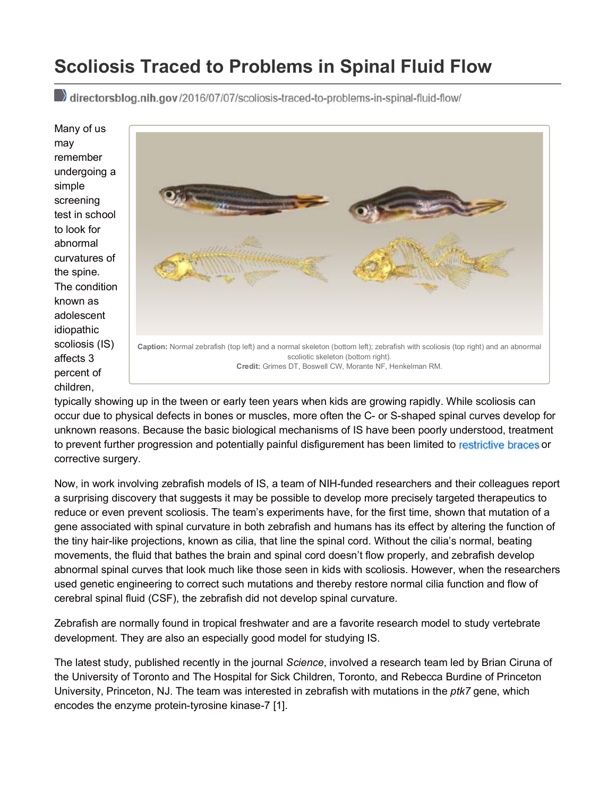## **Scoliosis Traced to Problems in Spinal Fluid Flow**

directorsblog.nih.gov/2016/07/07/scoliosis-traced-to-problems-in-spinal-fluid-flow/

Many of us may remember undergoing a simple screening test in school to look for abnormal curvatures of the spine. The condition known as adolescent idiopathic scoliosis (IS) affects 3 percent of children,



typically showing up in the tween or early teen years when kids are growing rapidly. While scoliosis can occur due to physical defects in bones or muscles, more often the C- or S-shaped spinal curves develop for unknown reasons. Because the basic biological mechanisms of IS have been poorly understood, treatment to prevent further progression and potentially painful disfigurement has been limited to restrictive braces or corrective surgery.

Now, in work involving zebrafish models of IS, a team of NIH-funded researchers and their colleagues report a surprising discovery that suggests it may be possible to develop more precisely targeted therapeutics to reduce or even prevent scoliosis. The team's experiments have, for the first time, shown that mutation of a gene associated with spinal curvature in both zebrafish and humans has its effect by altering the function of the tiny hair-like projections, known as cilia, that line the spinal cord. Without the cilia's normal, beating movements, the fluid that bathes the brain and spinal cord doesn't flow properly, and zebrafish develop abnormal spinal curves that look much like those seen in kids with scoliosis. However, when the researchers used genetic engineering to correct such mutations and thereby restore normal cilia function and flow of cerebral spinal fluid (CSF), the zebrafish did not develop spinal curvature.

Zebrafish are normally found in tropical freshwater and are a favorite research model to study vertebrate development. They are also an especially good model for studying IS.

The latest study, published recently in the journal *Science*, involved a research team led by Brian Ciruna of the University of Toronto and The Hospital for Sick Children, Toronto, and Rebecca Burdine of Princeton University, Princeton, NJ. The team was interested in zebrafish with mutations in the *ptk7* gene, which encodes the enzyme protein-tyrosine kinase-7 [1].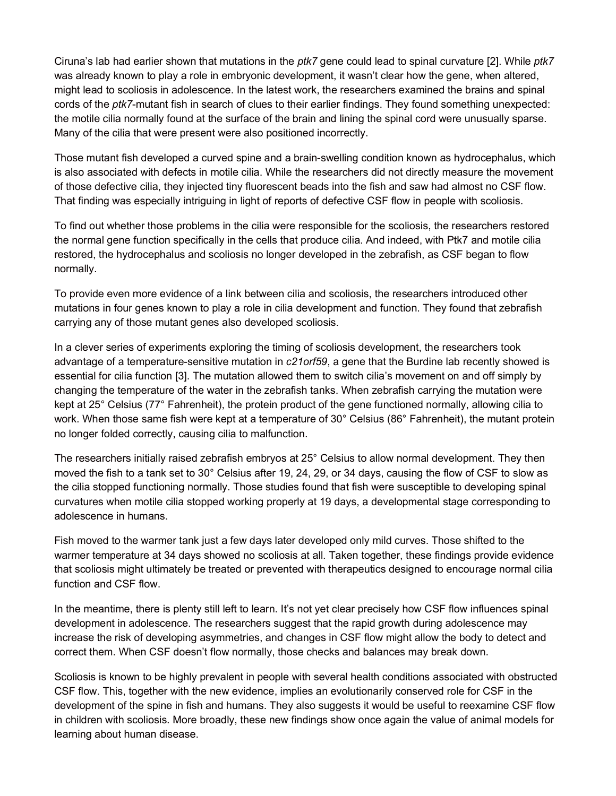Ciruna's lab had earlier shown that mutations in the *ptk7* gene could lead to spinal curvature [2]. While *ptk7* was already known to play a role in embryonic development, it wasn't clear how the gene, when altered, might lead to scoliosis in adolescence. In the latest work, the researchers examined the brains and spinal cords of the *ptk7*-mutant fish in search of clues to their earlier findings. They found something unexpected: the motile cilia normally found at the surface of the brain and lining the spinal cord were unusually sparse. Many of the cilia that were present were also positioned incorrectly.

Those mutant fish developed a curved spine and a brain-swelling condition known as hydrocephalus, which is also associated with defects in motile cilia. While the researchers did not directly measure the movement of those defective cilia, they injected tiny fluorescent beads into the fish and saw had almost no CSF flow. That finding was especially intriguing in light of reports of defective CSF flow in people with scoliosis.

To find out whether those problems in the cilia were responsible for the scoliosis, the researchers restored the normal gene function specifically in the cells that produce cilia. And indeed, with Ptk7 and motile cilia restored, the hydrocephalus and scoliosis no longer developed in the zebrafish, as CSF began to flow normally.

To provide even more evidence of a link between cilia and scoliosis, the researchers introduced other mutations in four genes known to play a role in cilia development and function. They found that zebrafish carrying any of those mutant genes also developed scoliosis.

In a clever series of experiments exploring the timing of scoliosis development, the researchers took advantage of a temperature-sensitive mutation in *c21orf59*, a gene that the Burdine lab recently showed is essential for cilia function [3]. The mutation allowed them to switch cilia's movement on and off simply by changing the temperature of the water in the zebrafish tanks. When zebrafish carrying the mutation were kept at 25° Celsius (77° Fahrenheit), the protein product of the gene functioned normally, allowing cilia to work. When those same fish were kept at a temperature of 30° Celsius (86° Fahrenheit), the mutant protein no longer folded correctly, causing cilia to malfunction.

The researchers initially raised zebrafish embryos at 25° Celsius to allow normal development. They then moved the fish to a tank set to 30° Celsius after 19, 24, 29, or 34 days, causing the flow of CSF to slow as the cilia stopped functioning normally. Those studies found that fish were susceptible to developing spinal curvatures when motile cilia stopped working properly at 19 days, a developmental stage corresponding to adolescence in humans.

Fish moved to the warmer tank just a few days later developed only mild curves. Those shifted to the warmer temperature at 34 days showed no scoliosis at all. Taken together, these findings provide evidence that scoliosis might ultimately be treated or prevented with therapeutics designed to encourage normal cilia function and CSF flow.

In the meantime, there is plenty still left to learn. It's not yet clear precisely how CSF flow influences spinal development in adolescence. The researchers suggest that the rapid growth during adolescence may increase the risk of developing asymmetries, and changes in CSF flow might allow the body to detect and correct them. When CSF doesn't flow normally, those checks and balances may break down.

Scoliosis is known to be highly prevalent in people with several health conditions associated with obstructed CSF flow. This, together with the new evidence, implies an evolutionarily conserved role for CSF in the development of the spine in fish and humans. They also suggests it would be useful to reexamine CSF flow in children with scoliosis. More broadly, these new findings show once again the value of animal models for learning about human disease.